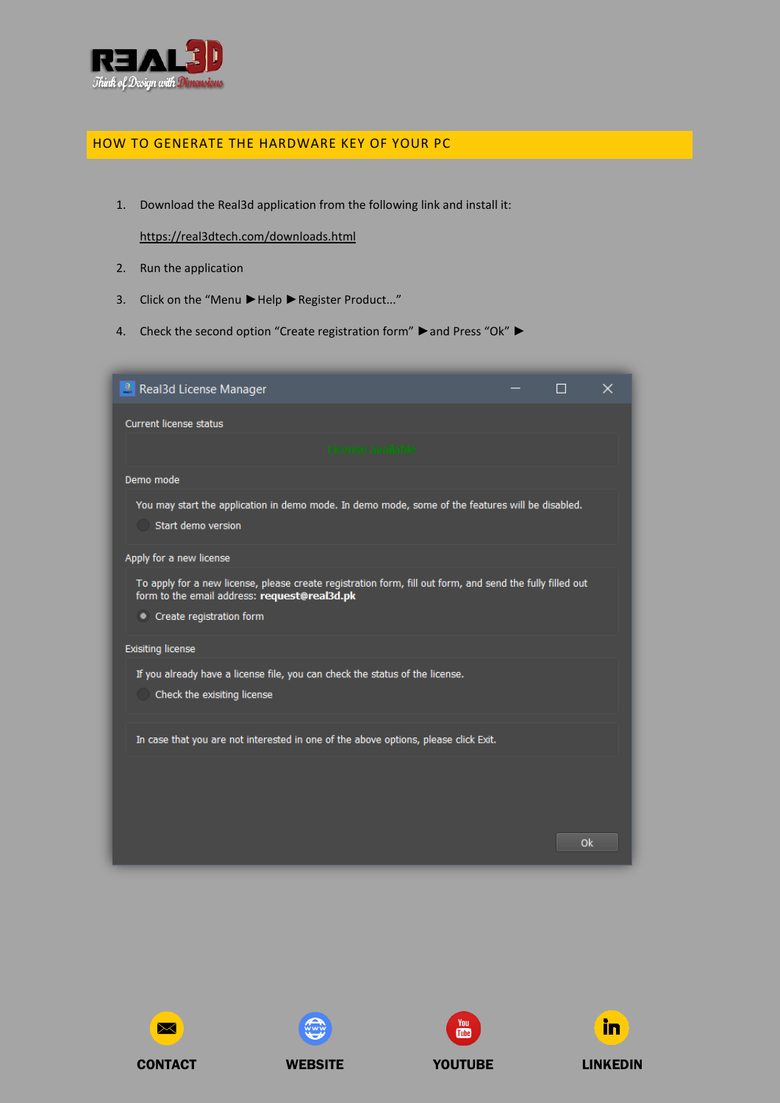

## HOW TO GENERATE THE HARDWARE KEY OF YOUR PC

1. Download the Real3d application from the following link and install it:

<https://real3dtech.com/downloads.html>

- 2. Run the application
- 3. Click on the "Menu ►Help ►Register Product..."
- 4. Check the second option "Create registration form" ►and Press "Ok" ►











CONTACT WEBSITE YOUTUBE LINKEDIN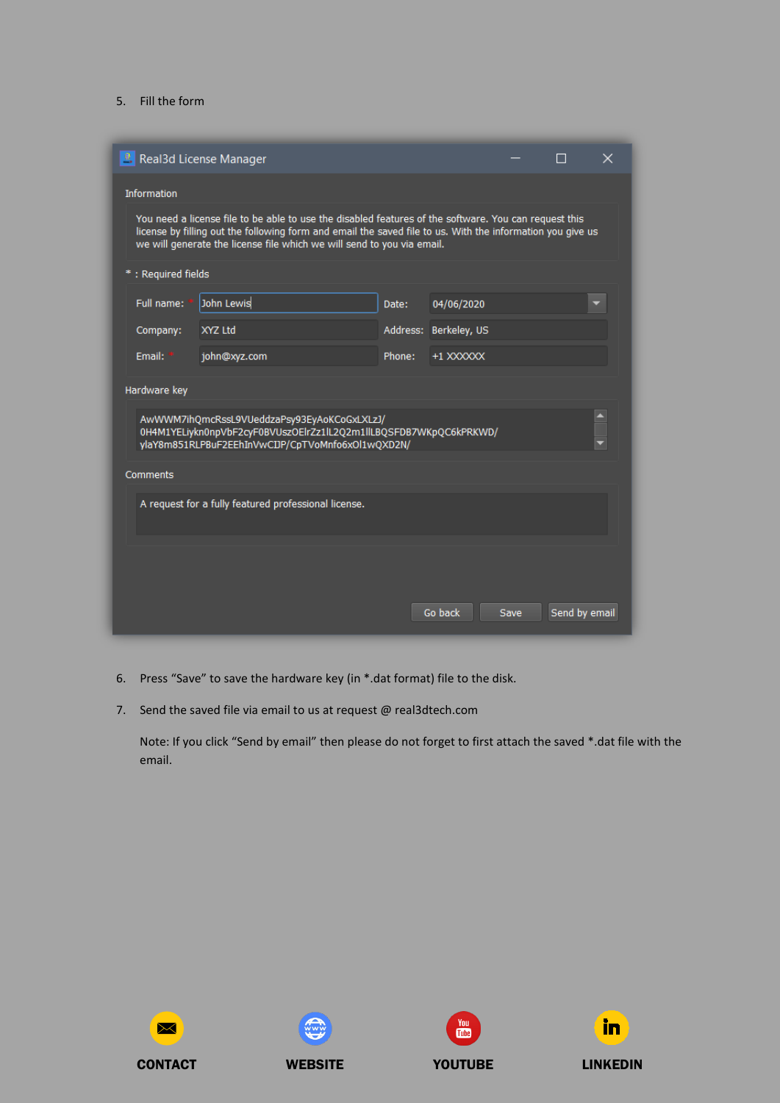## 5. Fill the form

| <sup>2</sup> . Real3d License Manager                                                                                                                                                                                                                                                         |              |        |                       |      |               | x |
|-----------------------------------------------------------------------------------------------------------------------------------------------------------------------------------------------------------------------------------------------------------------------------------------------|--------------|--------|-----------------------|------|---------------|---|
| <b>Information</b>                                                                                                                                                                                                                                                                            |              |        |                       |      |               |   |
| You need a license file to be able to use the disabled features of the software. You can request this<br>license by filling out the following form and email the saved file to us. With the information you give us<br>we will generate the license file which we will send to you via email. |              |        |                       |      |               |   |
| *: Required fields                                                                                                                                                                                                                                                                            |              |        |                       |      |               |   |
| Full name:                                                                                                                                                                                                                                                                                    | John Lewis   | Date:  | 04/06/2020            |      |               |   |
| Company:                                                                                                                                                                                                                                                                                      | XYZ Ltd      |        | Address: Berkeley, US |      |               |   |
| Email:                                                                                                                                                                                                                                                                                        | john@xyz.com | Phone: | +1 XXXXXX             |      |               |   |
| Hardware key                                                                                                                                                                                                                                                                                  |              |        |                       |      |               |   |
| AwWWM7ihQmcRssL9VUeddzaPsy93EyAoKCoGxLXLzJ/<br>0H4M1YELiykn0npVbF2cyF0BVUszOElrZz1lL2Q2m1llLBQSFDB7WKpQC6kPRKWD/<br>ylaY8m851RLPBuF2EEhInVwCDP/CpTVoMnfo6xOl1wQXD2N/                                                                                                                          |              |        |                       |      |               |   |
| Comments                                                                                                                                                                                                                                                                                      |              |        |                       |      |               |   |
| A request for a fully featured professional license.                                                                                                                                                                                                                                          |              |        |                       |      |               |   |
|                                                                                                                                                                                                                                                                                               |              |        |                       |      |               |   |
|                                                                                                                                                                                                                                                                                               |              |        | Go back               | Save | Send by email |   |

- 6. Press "Save" to save the hardware key (in \*.dat format) file to the disk.
- 7. Send the saved file via email to us at request @ real3dtech.com

Note: If you click "Send by email" then please do not forget to first attach the saved \*.dat file with the email.









CONTACT WEBSITE YOUTUBE LINKEDIN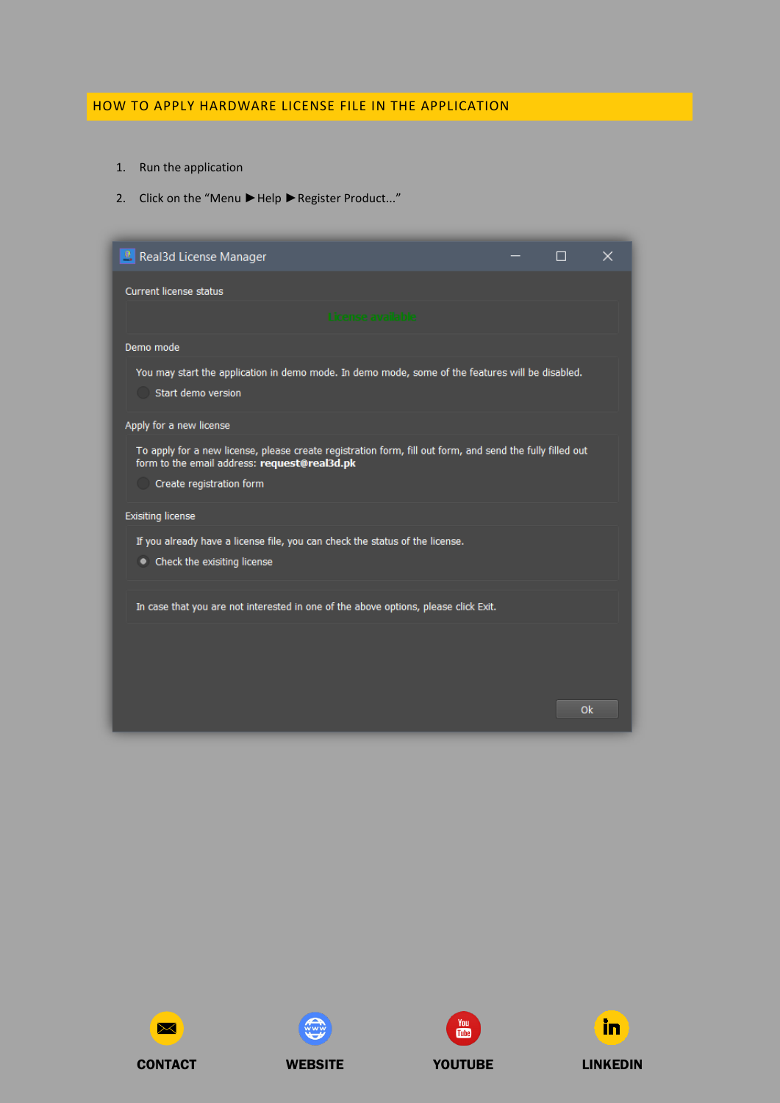## HOW TO APPLY HARDWARE LICENSE FILE IN THE APPLICATION

- 1. Run the application
- 2. Click on the "Menu ►Help ► Register Product..."

| <sup>2</sup> . Real3d License Manager                                                                                                                                                 | ⊓ | $\times$ |
|---------------------------------------------------------------------------------------------------------------------------------------------------------------------------------------|---|----------|
| <b>Current license status</b>                                                                                                                                                         |   |          |
| License available                                                                                                                                                                     |   |          |
| Demo mode                                                                                                                                                                             |   |          |
| You may start the application in demo mode. In demo mode, some of the features will be disabled.<br>Start demo version                                                                |   |          |
| Apply for a new license                                                                                                                                                               |   |          |
| To apply for a new license, please create registration form, fill out form, and send the fully filled out<br>form to the email address: request@real3d.pk<br>Create registration form |   |          |
| <b>Exisiting license</b>                                                                                                                                                              |   |          |
| If you already have a license file, you can check the status of the license.<br>• Check the exisiting license                                                                         |   |          |
| In case that you are not interested in one of the above options, please click Exit.                                                                                                   |   |          |
|                                                                                                                                                                                       |   |          |
|                                                                                                                                                                                       |   |          |
|                                                                                                                                                                                       |   | Ok       |







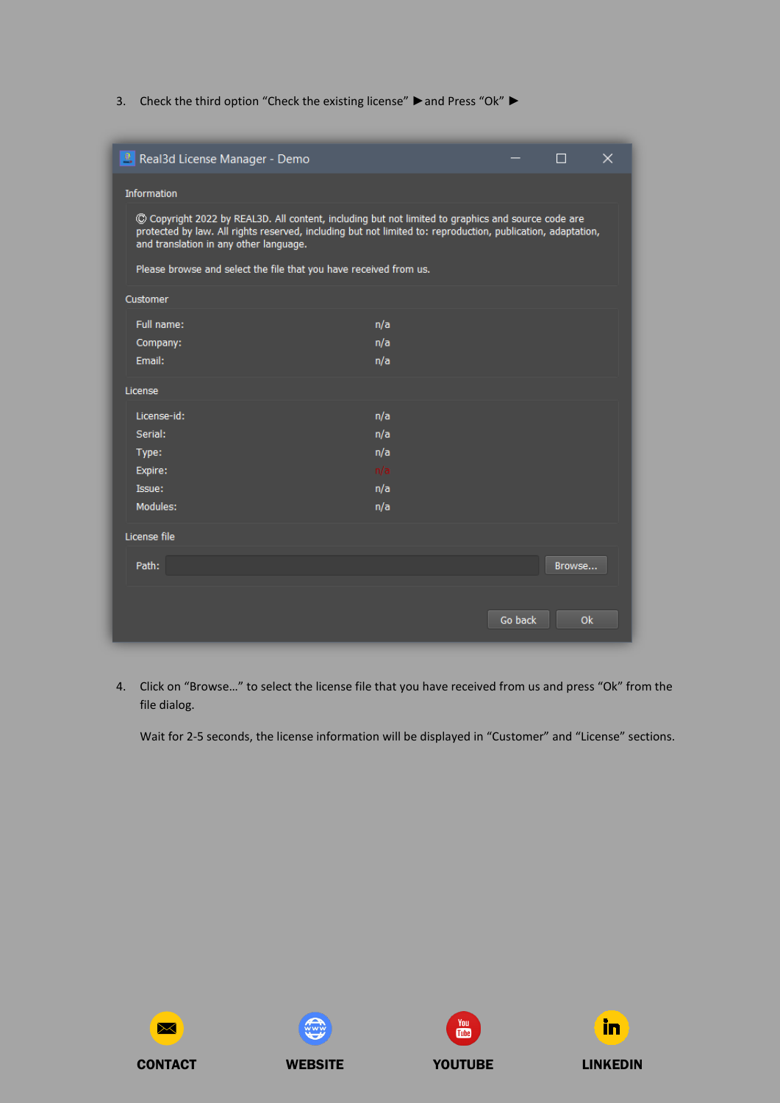3. Check the third option "Check the existing license" ▶ and Press "Ok" ▶

| Real3d License Manager - Demo                                                                                                                                                                                                                               |     |         | П      | $\times$ |
|-------------------------------------------------------------------------------------------------------------------------------------------------------------------------------------------------------------------------------------------------------------|-----|---------|--------|----------|
| Information                                                                                                                                                                                                                                                 |     |         |        |          |
| C Copyright 2022 by REAL3D. All content, including but not limited to graphics and source code are<br>protected by law. All rights reserved, including but not limited to: reproduction, publication, adaptation,<br>and translation in any other language. |     |         |        |          |
| Please browse and select the file that you have received from us.                                                                                                                                                                                           |     |         |        |          |
| Customer                                                                                                                                                                                                                                                    |     |         |        |          |
| Full name:                                                                                                                                                                                                                                                  | n/a |         |        |          |
| Company:                                                                                                                                                                                                                                                    | n/a |         |        |          |
| Email:                                                                                                                                                                                                                                                      | n/a |         |        |          |
| License                                                                                                                                                                                                                                                     |     |         |        |          |
| License-id:                                                                                                                                                                                                                                                 | n/a |         |        |          |
| Serial:                                                                                                                                                                                                                                                     | n/a |         |        |          |
| Type:                                                                                                                                                                                                                                                       | n/a |         |        |          |
| Expire:                                                                                                                                                                                                                                                     | n/a |         |        |          |
| Issue:                                                                                                                                                                                                                                                      | n/a |         |        |          |
| Modules:                                                                                                                                                                                                                                                    | n/a |         |        |          |
| License file                                                                                                                                                                                                                                                |     |         |        |          |
| Path:                                                                                                                                                                                                                                                       |     |         | Browse |          |
|                                                                                                                                                                                                                                                             |     | Go back | Ok     |          |

4. Click on "Browse…" to select the license file that you have received from us and press "Ok" from the file dialog.

Wait for 2-5 seconds, the license information will be displayed in "Customer" and "License" sections.